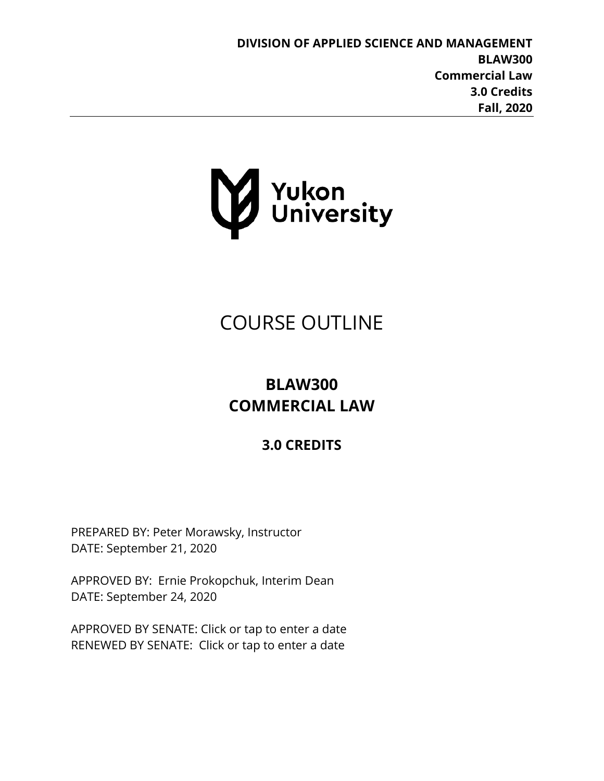

# COURSE OUTLINE

## **BLAW300 COMMERCIAL LAW**

## **3.0 CREDITS**

PREPARED BY: Peter Morawsky, Instructor DATE: September 21, 2020

APPROVED BY: Ernie Prokopchuk, Interim Dean DATE: September 24, 2020

APPROVED BY SENATE: Click or tap to enter a date RENEWED BY SENATE: Click or tap to enter a date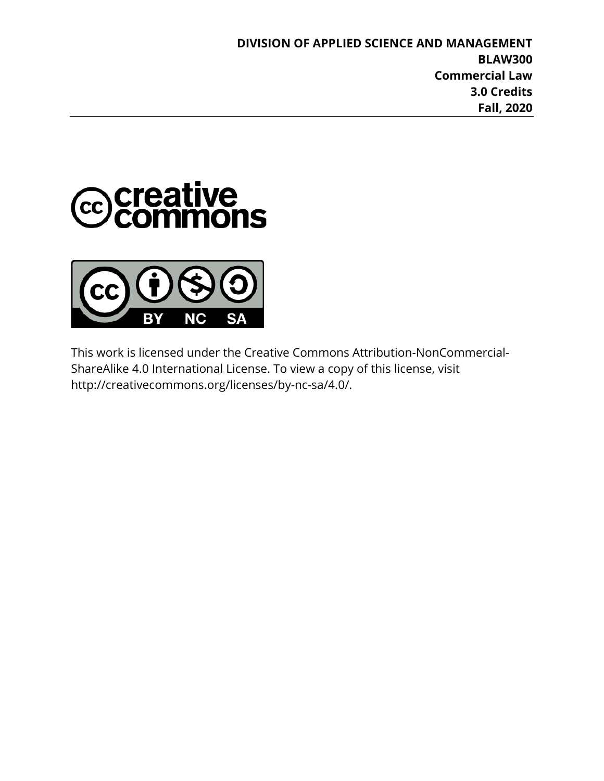



This work is licensed under the Creative Commons Attribution-NonCommercial-ShareAlike 4.0 International License. To view a copy of this license, visit http://creativecommons.org/licenses/by-nc-sa/4.0/.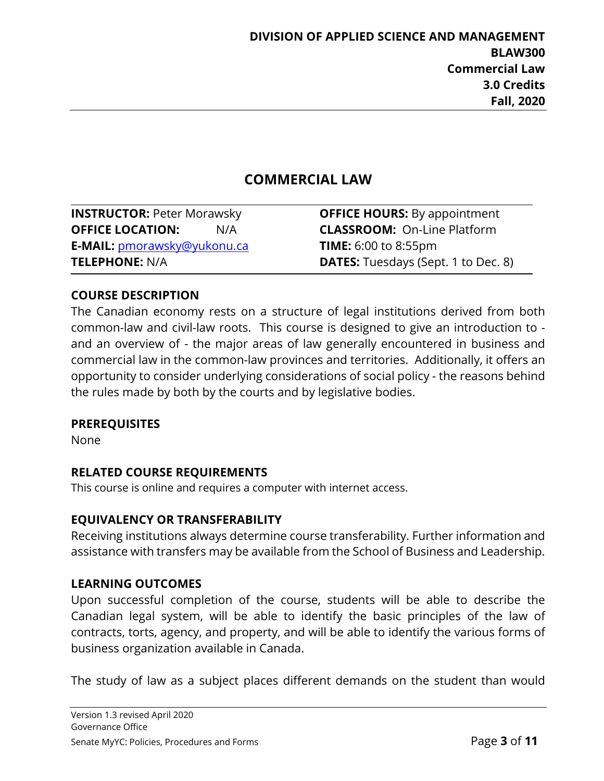## **COMMERCIAL LAW**

**INSTRUCTOR:** Peter Morawsky **OFFICE HOURS:** By appointment **OFFICE LOCATION:** N/A **CLASSROOM:** On-Line Platform **E-MAIL:** [pmorawsky@yukonu.ca](mailto:pmorawsky@yukonu.ca) **TIME:** 6:00 to 8:55pm

**TELEPHONE:** N/A **DATES:** Tuesdays (Sept. 1 to Dec. 8)

#### **COURSE DESCRIPTION**

The Canadian economy rests on a structure of legal institutions derived from both common-law and civil-law roots. This course is designed to give an introduction to and an overview of - the major areas of law generally encountered in business and commercial law in the common-law provinces and territories. Additionally, it offers an opportunity to consider underlying considerations of social policy - the reasons behind the rules made by both by the courts and by legislative bodies.

#### **PREREQUISITES**

None

#### **RELATED COURSE REQUIREMENTS**

This course is online and requires a computer with internet access.

## **EQUIVALENCY OR TRANSFERABILITY**

Receiving institutions always determine course transferability. Further information and assistance with transfers may be available from the School of Business and Leadership.

#### **LEARNING OUTCOMES**

Upon successful completion of the course, students will be able to describe the Canadian legal system, will be able to identify the basic principles of the law of contracts, torts, agency, and property, and will be able to identify the various forms of business organization available in Canada.

The study of law as a subject places different demands on the student than would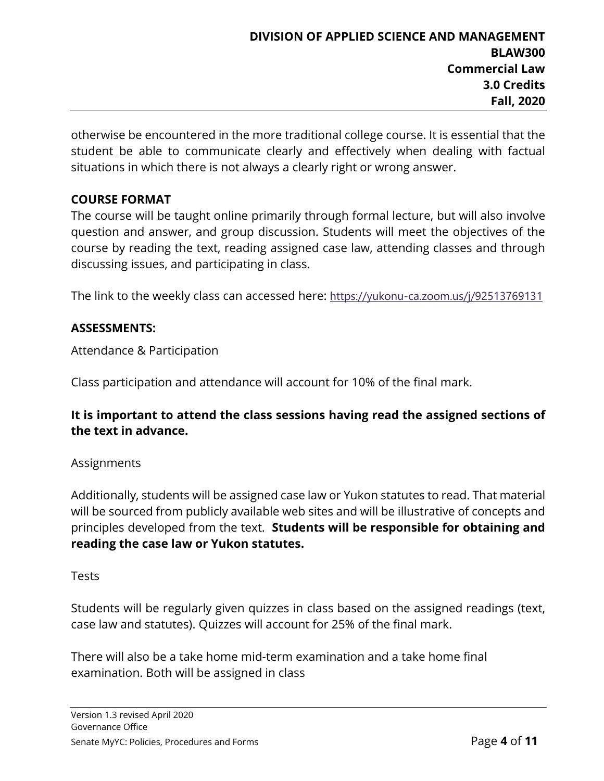otherwise be encountered in the more traditional college course. It is essential that the student be able to communicate clearly and effectively when dealing with factual situations in which there is not always a clearly right or wrong answer.

#### **COURSE FORMAT**

The course will be taught online primarily through formal lecture, but will also involve question and answer, and group discussion. Students will meet the objectives of the course by reading the text, reading assigned case law, attending classes and through discussing issues, and participating in class.

The link to the weekly class can accessed here: <https://yukonu-ca.zoom.us/j/92513769131>

#### **ASSESSMENTS:**

Attendance & Participation

Class participation and attendance will account for 10% of the final mark.

#### **It is important to attend the class sessions having read the assigned sections of the text in advance.**

#### Assignments

Additionally, students will be assigned case law or Yukon statutes to read. That material will be sourced from publicly available web sites and will be illustrative of concepts and principles developed from the text. **Students will be responsible for obtaining and reading the case law or Yukon statutes.**

#### Tests

Students will be regularly given quizzes in class based on the assigned readings (text, case law and statutes). Quizzes will account for 25% of the final mark.

There will also be a take home mid-term examination and a take home final examination. Both will be assigned in class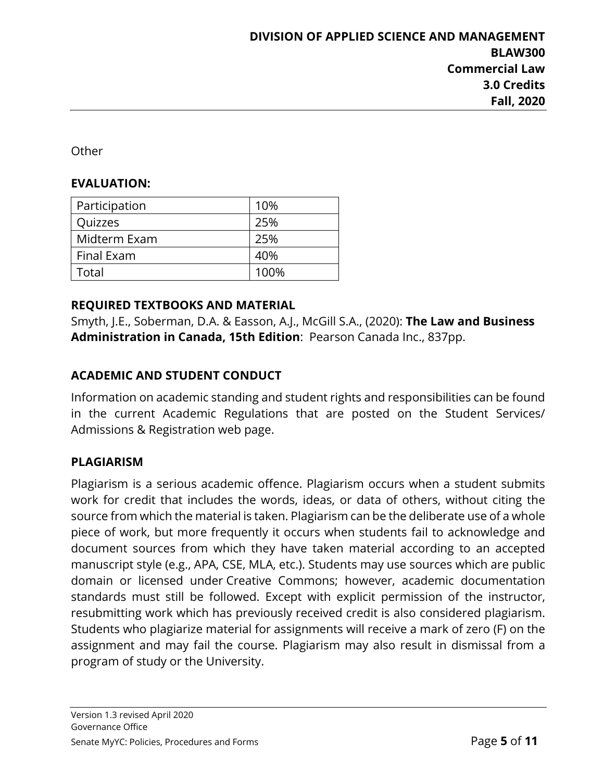**Other** 

#### **EVALUATION:**

| Participation     | 10%  |
|-------------------|------|
| Quizzes           | 25%  |
| Midterm Exam      | 25%  |
| Final Exam        | 40%  |
| ctal <sup>-</sup> | 100% |

#### **REQUIRED TEXTBOOKS AND MATERIAL**

Smyth, J.E., Soberman, D.A. & Easson, A.J., McGill S.A., (2020): **The Law and Business Administration in Canada, 15th Edition**: Pearson Canada Inc., 837pp.

## **ACADEMIC AND STUDENT CONDUCT**

Information on academic standing and student rights and responsibilities can be found in the current Academic Regulations that are posted on the Student Services/ Admissions & Registration web page.

## **PLAGIARISM**

Plagiarism is a serious academic offence. Plagiarism occurs when a student submits work for credit that includes the words, ideas, or data of others, without citing the source from which the material is taken. Plagiarism can be the deliberate use of a whole piece of work, but more frequently it occurs when students fail to acknowledge and document sources from which they have taken material according to an accepted manuscript style (e.g., APA, CSE, MLA, etc.). Students may use sources which are public domain or licensed under Creative Commons; however, academic documentation standards must still be followed. Except with explicit permission of the instructor, resubmitting work which has previously received credit is also considered plagiarism. Students who plagiarize material for assignments will receive a mark of zero (F) on the assignment and may fail the course. Plagiarism may also result in dismissal from a program of study or the University.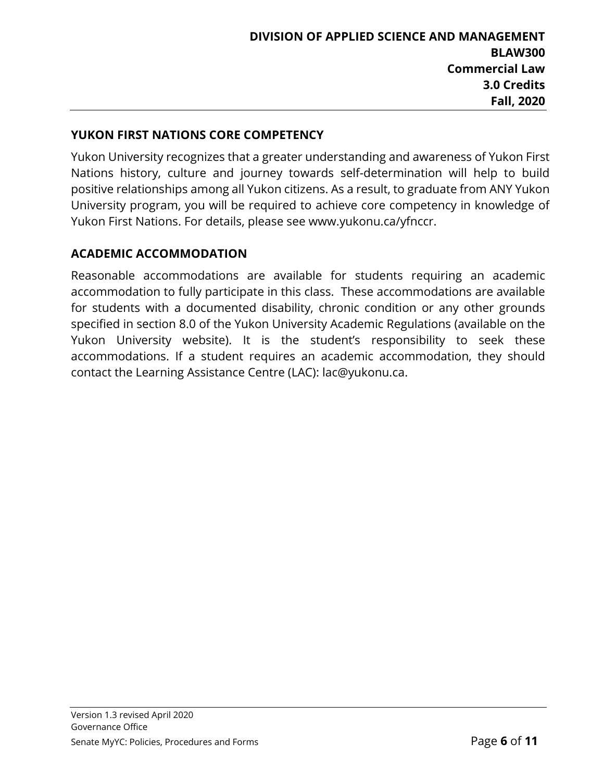## **YUKON FIRST NATIONS CORE COMPETENCY**

Yukon University recognizes that a greater understanding and awareness of Yukon First Nations history, culture and journey towards self-determination will help to build positive relationships among all Yukon citizens. As a result, to graduate from ANY Yukon University program, you will be required to achieve core competency in knowledge of Yukon First Nations. For details, please see www.yukonu.ca/yfnccr.

## **ACADEMIC ACCOMMODATION**

Reasonable accommodations are available for students requiring an academic accommodation to fully participate in this class. These accommodations are available for students with a documented disability, chronic condition or any other grounds specified in section 8.0 of the Yukon University Academic Regulations (available on the Yukon University website). It is the student's responsibility to seek these accommodations. If a student requires an academic accommodation, they should contact the Learning Assistance Centre (LAC): lac@yukonu.ca.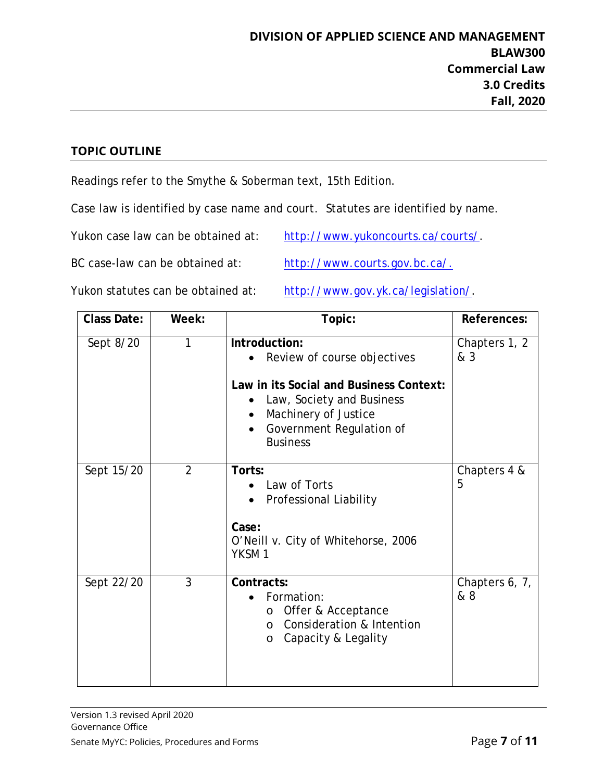#### **TOPIC OUTLINE**

Readings refer to the Smythe & Soberman text, 15th Edition.

Case law is identified by case name and court. Statutes are identified by name.

Yukon case law can be obtained at: [http://www.yukoncourts.ca/courts/.](http://www.yukoncourts.ca/courts/)

BC case-law can be obtained at: [http://www.courts.gov.bc.ca/.](http://www.courts.gov.bc.ca/)

Yukon statutes can be obtained at: [http://www.gov.yk.ca/legislation/.](http://www.gov.yk.ca/legislation/)

| <b>Class Date:</b> | Week:          | Topic:                                                                                                                                                                                                                | References:           |
|--------------------|----------------|-----------------------------------------------------------------------------------------------------------------------------------------------------------------------------------------------------------------------|-----------------------|
| Sept 8/20          | 1              | Introduction:<br>Review of course objectives<br>Law in its Social and Business Context:<br>Law, Society and Business<br>Machinery of Justice<br>$\bullet$<br>Government Regulation of<br>$\bullet$<br><b>Business</b> | Chapters 1, 2<br>& 3  |
| Sept 15/20         | $\overline{2}$ | Torts:<br>Law of Torts<br><b>Professional Liability</b><br>Case:<br>O'Neill v. City of Whitehorse, 2006<br>YKSM <sub>1</sub>                                                                                          | Chapters 4 &<br>5     |
| Sept 22/20         | 3              | Contracts:<br>Formation:<br>$\bullet$<br>Offer & Acceptance<br>$\circ$<br>Consideration & Intention<br>$\Omega$<br>Capacity & Legality<br>$\circ$                                                                     | Chapters 6, 7,<br>& 8 |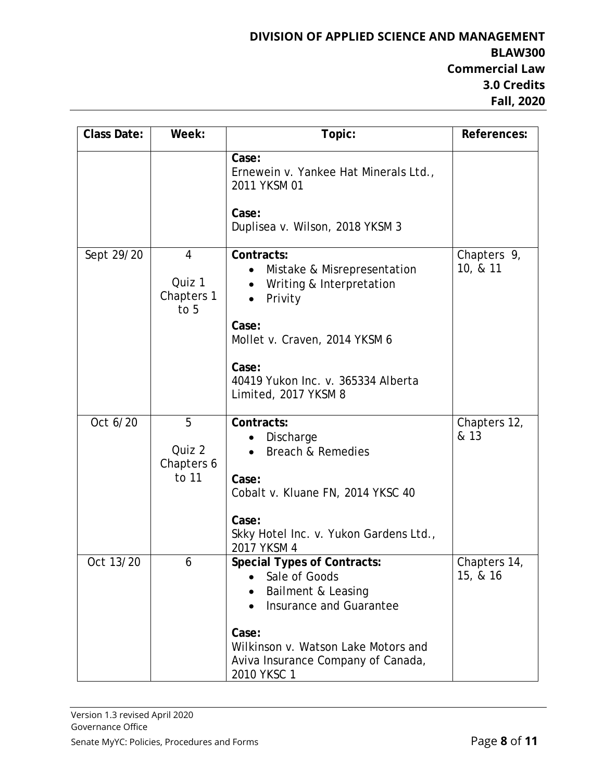| <b>Class Date:</b> | Week:                              | Topic:                                                                                                                                                                                                    | References:              |
|--------------------|------------------------------------|-----------------------------------------------------------------------------------------------------------------------------------------------------------------------------------------------------------|--------------------------|
|                    |                                    | Case:<br>Ernewein v. Yankee Hat Minerals Ltd.,<br>2011 YKSM 01                                                                                                                                            |                          |
|                    |                                    | Case:<br>Duplisea v. Wilson, 2018 YKSM 3                                                                                                                                                                  |                          |
| Sept 29/20         | 4<br>Quiz 1<br>Chapters 1<br>to 5  | Contracts:<br>Mistake & Misrepresentation<br>Writing & Interpretation<br>Privity                                                                                                                          | Chapters 9,<br>10, & 11  |
|                    |                                    | Case:<br>Mollet v. Craven, 2014 YKSM 6                                                                                                                                                                    |                          |
|                    |                                    | Case:<br>40419 Yukon Inc. v. 365334 Alberta<br>Limited, 2017 YKSM 8                                                                                                                                       |                          |
| Oct 6/20           | 5<br>Quiz 2<br>Chapters 6<br>to 11 | Contracts:<br>Discharge<br><b>Breach &amp; Remedies</b><br>Case:<br>Cobalt v. Kluane FN, 2014 YKSC 40<br>Case:<br>Skky Hotel Inc. v. Yukon Gardens Ltd.,<br>2017 YKSM 4                                   | Chapters 12,<br>& 13     |
| Oct 13/20          | 6                                  | <b>Special Types of Contracts:</b><br>Sale of Goods<br>Bailment & Leasing<br>Insurance and Guarantee<br>Case:<br>Wilkinson v. Watson Lake Motors and<br>Aviva Insurance Company of Canada,<br>2010 YKSC 1 | Chapters 14,<br>15, & 16 |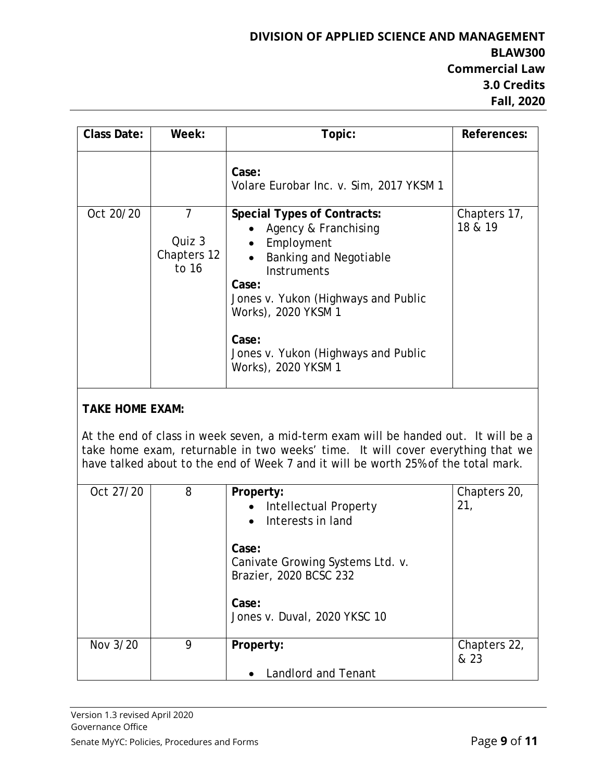| <b>Class Date:</b>     | Week:                               | Topic:                                                                                                                                                                                                                                                                        | References:             |
|------------------------|-------------------------------------|-------------------------------------------------------------------------------------------------------------------------------------------------------------------------------------------------------------------------------------------------------------------------------|-------------------------|
|                        |                                     | Case:<br>Volare Eurobar Inc. v. Sim, 2017 YKSM 1                                                                                                                                                                                                                              |                         |
| Oct 20/20              | 7<br>Quiz 3<br>Chapters 12<br>to 16 | <b>Special Types of Contracts:</b><br>Agency & Franchising<br>Employment<br><b>Banking and Negotiable</b><br><b>Instruments</b><br>Case:<br>Jones v. Yukon (Highways and Public<br>Works), 2020 YKSM 1<br>Case:<br>Jones v. Yukon (Highways and Public<br>Works), 2020 YKSM 1 | Chapters 17,<br>18 & 19 |
| <b>TAKE HOME EXAM:</b> |                                     |                                                                                                                                                                                                                                                                               |                         |
|                        |                                     | At the end of class in week seven, a mid-term exam will be handed out. It will be a<br>take home exam, returnable in two weeks' time. It will cover everything that we<br>have talked about to the end of Week 7 and it will be worth 25% of the total mark.                  |                         |

| Oct 27/20 | 8 | Property:<br>Intellectual Property<br>Interests in land<br>Case:<br>Canivate Growing Systems Ltd. v.<br>Brazier, 2020 BCSC 232<br>Case:<br>Jones v. Duval, 2020 YKSC 10 | Chapters 20,<br>21,  |
|-----------|---|-------------------------------------------------------------------------------------------------------------------------------------------------------------------------|----------------------|
| Nov 3/20  | 9 | Property:                                                                                                                                                               | Chapters 22,<br>& 23 |
|           |   | <b>Landlord and Tenant</b>                                                                                                                                              |                      |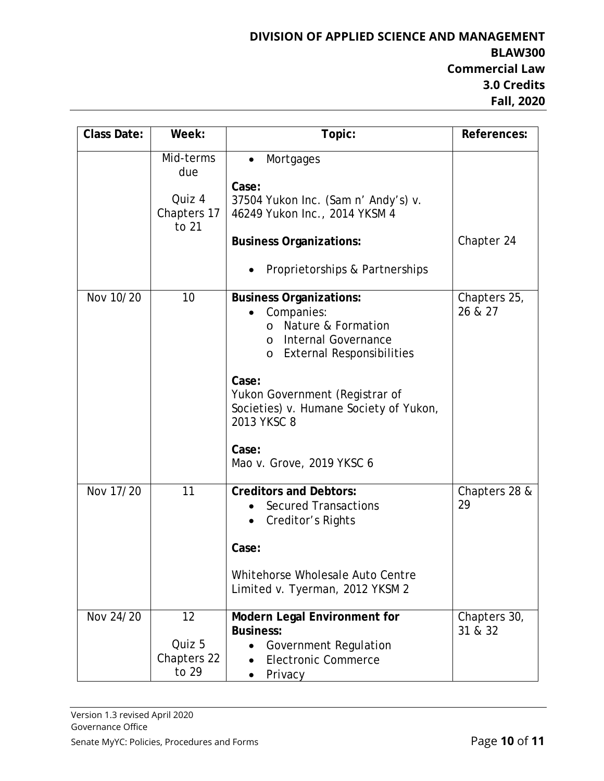| <b>Class Date:</b> | Week:                                              | Topic:                                                                                                                                                           | References:             |
|--------------------|----------------------------------------------------|------------------------------------------------------------------------------------------------------------------------------------------------------------------|-------------------------|
|                    | Mid-terms<br>due<br>Quiz 4<br>Chapters 17<br>to 21 | Mortgages<br>$\bullet$<br>Case:<br>37504 Yukon Inc. (Sam n' Andy's) v.<br>46249 Yukon Inc., 2014 YKSM 4                                                          |                         |
|                    |                                                    | <b>Business Organizations:</b><br>Proprietorships & Partnerships                                                                                                 | Chapter 24              |
| Nov 10/20          | 10                                                 | <b>Business Organizations:</b><br>Companies:<br>Nature & Formation<br>$\Omega$<br>Internal Governance<br>$\Omega$<br><b>External Responsibilities</b><br>$\circ$ | Chapters 25,<br>26 & 27 |
|                    |                                                    | Case:<br>Yukon Government (Registrar of<br>Societies) v. Humane Society of Yukon,<br>2013 YKSC 8<br>Case:<br>Mao v. Grove, 2019 YKSC 6                           |                         |
| Nov 17/20          | 11                                                 | <b>Creditors and Debtors:</b><br><b>Secured Transactions</b><br>Creditor's Rights<br>Case:<br>Whitehorse Wholesale Auto Centre                                   | Chapters 28 &<br>29     |
|                    |                                                    | Limited v. Tyerman, 2012 YKSM 2                                                                                                                                  |                         |
| Nov 24/20          | 12<br>Quiz 5<br>Chapters 22<br>to 29               | <b>Modern Legal Environment for</b><br><b>Business:</b><br><b>Government Regulation</b><br><b>Electronic Commerce</b><br>Privacy                                 | Chapters 30,<br>31 & 32 |